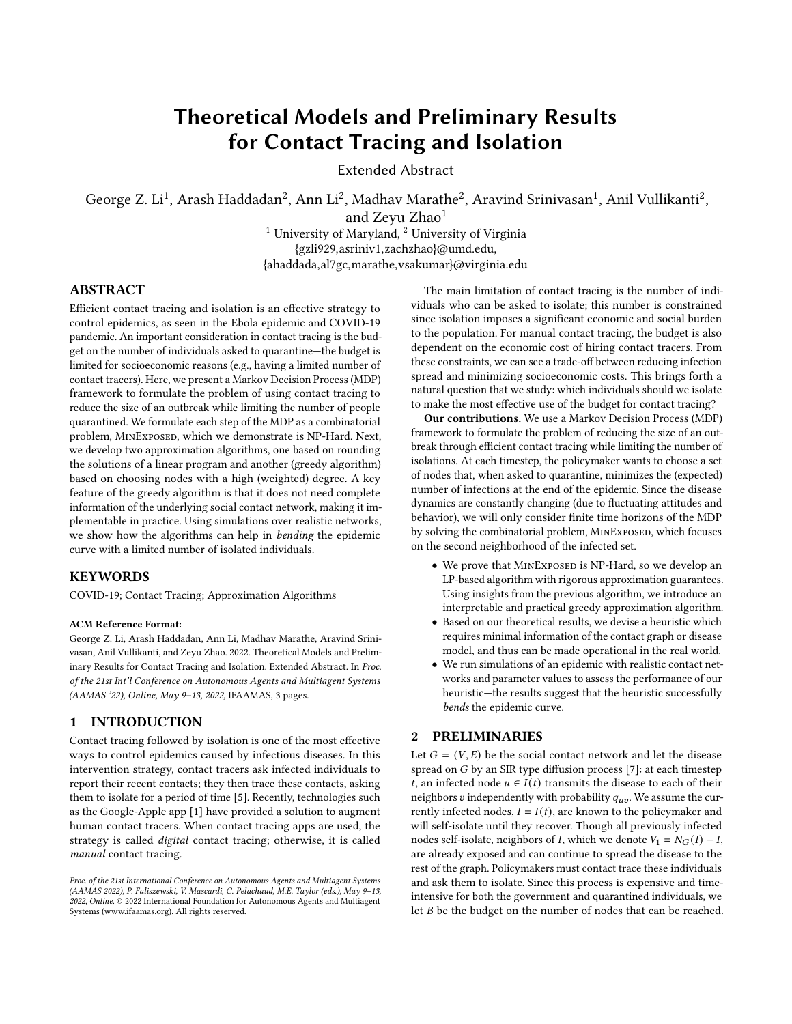# Theoretical Models and Preliminary Results for Contact Tracing and Isolation

Extended Abstract

George Z. Li<sup>1</sup>, Arash Haddadan<sup>2</sup>, Ann Li<sup>2</sup>, Madhav Marathe<sup>2</sup>, Aravind Srinivasan<sup>1</sup>, Anil Vullikanti<sup>2</sup>,

and Zevu Zhao<sup>1</sup>

<sup>1</sup> University of Maryland, <sup>2</sup> University of Virginia {gzli929,asriniv1,zachzhao}@umd.edu, {ahaddada,al7gc,marathe,vsakumar}@virginia.edu

# ABSTRACT

Efficient contact tracing and isolation is an effective strategy to control epidemics, as seen in the Ebola epidemic and COVID-19 pandemic. An important consideration in contact tracing is the budget on the number of individuals asked to quarantine—the budget is limited for socioeconomic reasons (e.g., having a limited number of contact tracers). Here, we present a Markov Decision Process (MDP) framework to formulate the problem of using contact tracing to reduce the size of an outbreak while limiting the number of people quarantined. We formulate each step of the MDP as a combinatorial problem, MINEXPOSED, which we demonstrate is NP-Hard. Next, we develop two approximation algorithms, one based on rounding the solutions of a linear program and another (greedy algorithm) based on choosing nodes with a high (weighted) degree. A key feature of the greedy algorithm is that it does not need complete information of the underlying social contact network, making it implementable in practice. Using simulations over realistic networks, we show how the algorithms can help in bending the epidemic curve with a limited number of isolated individuals.

#### **KEYWORDS**

COVID-19; Contact Tracing; Approximation Algorithms

#### ACM Reference Format:

George Z. Li, Arash Haddadan, Ann Li, Madhav Marathe, Aravind Srinivasan, Anil Vullikanti, and Zeyu Zhao. 2022. Theoretical Models and Preliminary Results for Contact Tracing and Isolation. Extended Abstract. In Proc. of the 21st Int'l Conference on Autonomous Agents and Multiagent Systems (AAMAS '22), Online, May 9–13, 2022, IFAAMAS, 3 pages.

## 1 INTRODUCTION

Contact tracing followed by isolation is one of the most effective ways to control epidemics caused by infectious diseases. In this intervention strategy, contact tracers ask infected individuals to report their recent contacts; they then trace these contacts, asking them to isolate for a period of time [\[5\]](#page-2-0). Recently, technologies such as the Google-Apple app [\[1\]](#page-2-1) have provided a solution to augment human contact tracers. When contact tracing apps are used, the strategy is called digital contact tracing; otherwise, it is called manual contact tracing.

The main limitation of contact tracing is the number of individuals who can be asked to isolate; this number is constrained since isolation imposes a significant economic and social burden to the population. For manual contact tracing, the budget is also dependent on the economic cost of hiring contact tracers. From these constraints, we can see a trade-off between reducing infection spread and minimizing socioeconomic costs. This brings forth a natural question that we study: which individuals should we isolate to make the most effective use of the budget for contact tracing?

Our contributions. We use a Markov Decision Process (MDP) framework to formulate the problem of reducing the size of an outbreak through efficient contact tracing while limiting the number of isolations. At each timestep, the policymaker wants to choose a set of nodes that, when asked to quarantine, minimizes the (expected) number of infections at the end of the epidemic. Since the disease dynamics are constantly changing (due to fluctuating attitudes and behavior), we will only consider finite time horizons of the MDP by solving the combinatorial problem, MINEXPOSED, which focuses on the second neighborhood of the infected set.

- We prove that MINEXPOSED is NP-Hard, so we develop an LP-based algorithm with rigorous approximation guarantees. Using insights from the previous algorithm, we introduce an interpretable and practical greedy approximation algorithm.
- Based on our theoretical results, we devise a heuristic which requires minimal information of the contact graph or disease model, and thus can be made operational in the real world.
- We run simulations of an epidemic with realistic contact networks and parameter values to assess the performance of our heuristic—the results suggest that the heuristic successfully bends the epidemic curve.

## 2 PRELIMINARIES

Let  $G = (V, E)$  be the social contact network and let the disease spread on  $G$  by an SIR type diffusion process  $[7]$ : at each timestep *t*, an infected node  $u \in I(t)$  transmits the disease to each of their neighbors v independently with probability  $q_{uv}$ . We assume the currently infected nodes,  $I = I(t)$ , are known to the policymaker and will self-isolate until they recover. Though all previously infected nodes self-isolate, neighbors of *I*, which we denote  $V_1 = N_G(I) - I$ , are already exposed and can continue to spread the disease to the rest of the graph. Policymakers must contact trace these individuals and ask them to isolate. Since this process is expensive and timeintensive for both the government and quarantined individuals, we let  $B$  be the budget on the number of nodes that can be reached.

Proc. of the 21st International Conference on Autonomous Agents and Multiagent Systems (AAMAS 2022), P. Faliszewski, V. Mascardi, C. Pelachaud, M.E. Taylor (eds.), May 9–13, 2022, Online. © 2022 International Foundation for Autonomous Agents and Multiagent Systems (www.ifaamas.org). All rights reserved.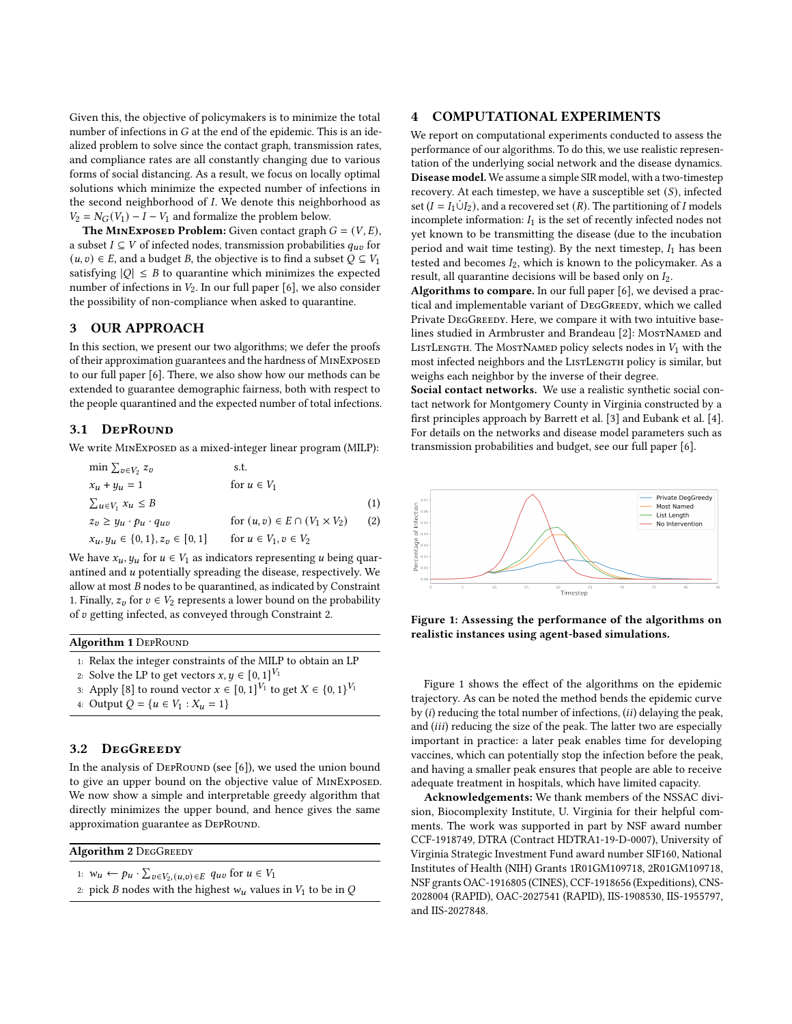Given this, the objective of policymakers is to minimize the total number of infections in  $G$  at the end of the epidemic. This is an idealized problem to solve since the contact graph, transmission rates, and compliance rates are all constantly changing due to various forms of social distancing. As a result, we focus on locally optimal solutions which minimize the expected number of infections in the second neighborhood of  $I$ . We denote this neighborhood as  $V_2 = N_G(V_1) - I - V_1$  and formalize the problem below.

**The MINEXPOSED Problem:** Given contact graph  $G = (V, E)$ , a subset  $I \subseteq V$  of infected nodes, transmission probabilities  $q_{uv}$  for  $(u, v)$  ∈ E, and a budget B, the objective is to find a subset  $Q ⊆ V_1$ satisfying  $|Q| \leq B$  to quarantine which minimizes the expected number of infections in  $V_2$ . In our full paper [\[6\]](#page-2-3), we also consider the possibility of non-compliance when asked to quarantine.

#### 3 OUR APPROACH

In this section, we present our two algorithms; we defer the proofs of their approximation guarantees and the hardness of MINEXPOSED to our full paper [\[6\]](#page-2-3). There, we also show how our methods can be extended to guarantee demographic fairness, both with respect to the people quarantined and the expected number of total infections.

#### 3.1 DepRound

We write MINEXPOSED as a mixed-integer linear program (MILP):

| min $\sum_{v \in V_2} z_v$              | s.t.                                     |     |
|-----------------------------------------|------------------------------------------|-----|
| $x_u + y_u = 1$                         | for $u \in V_1$                          |     |
| $\sum_{u\in V_1} x_u \leq B$            |                                          | (1) |
| $z_v \geq y_u \cdot p_u \cdot q_{uv}$   | for $(u, v) \in E \cap (V_1 \times V_2)$ | (2) |
| $x_u, y_u \in \{0, 1\}, z_v \in [0, 1]$ | for $u \in V_1, v \in V_2$               |     |

We have  $x_u, y_u$  for  $u \in V_1$  as indicators representing u being quarantined and  $u$  potentially spreading the disease, respectively. We allow at most  $B$  nodes to be quarantined, as indicated by Constraint [1.](#page-1-0) Finally,  $z_n$  for  $v \in V_2$  represents a lower bound on the probability of  $v$  getting infected, as conveyed through Constraint [2.](#page-1-1)

## Algorithm 1 DEPROUND

1: Relax the integer constraints of the MILP to obtain an LP

2: Solve the LP to get vectors  $x, y \in [0, 1]^{V_1}$ 

- 3: Apply [\[8\]](#page-2-4) to round vector  $x \in [0,1]^{V_1}$  to get  $X \in \{0,1\}^{V_1}$
- 4: Output  $Q = \{u \in V_1 : X_u = 1\}$

#### 3.2 DegGreedy

In the analysis of DEPROUND (see [\[6\]](#page-2-3)), we used the union bound to give an upper bound on the objective value of MINEXPOSED. We now show a simple and interpretable greedy algorithm that directly minimizes the upper bound, and hence gives the same approximation guarantee as DEPROUND.

Algorithm 2 DEGGREEDY

- 1:  $w_u \leftarrow p_u \cdot \sum_{v \in V_2, (u,v) \in E} q_{uv}$  for  $u \in V_1$
- 2: pick *B* nodes with the highest  $w_u$  values in  $V_1$  to be in Q

#### 4 COMPUTATIONAL EXPERIMENTS

We report on computational experiments conducted to assess the performance of our algorithms. To do this, we use realistic representation of the underlying social network and the disease dynamics. Disease model. We assume a simple SIR model, with a two-timestep recovery. At each timestep, we have a susceptible set  $(S)$ , infected set ( $I = I_1 \dot{\cup} I_2$ ), and a recovered set (R). The partitioning of I models incomplete information:  $I_1$  is the set of recently infected nodes not yet known to be transmitting the disease (due to the incubation period and wait time testing). By the next timestep,  $I_1$  has been tested and becomes  $I_2$ , which is known to the policymaker. As a result, all quarantine decisions will be based only on  $I_2$ .

Algorithms to compare. In our full paper [\[6\]](#page-2-3), we devised a practical and implementable variant of DEGGREEDY, which we called Private DEGGREEDY. Here, we compare it with two intuitive base-lines studied in Armbruster and Brandeau [\[2\]](#page-2-5): MOSTNAMED and LISTLENGTH. The MOSTNAMED policy selects nodes in  $V_1$  with the most infected neighbors and the LISTLENGTH policy is similar, but weighs each neighbor by the inverse of their degree.

Social contact networks. We use a realistic synthetic social contact network for Montgomery County in Virginia constructed by a first principles approach by Barrett et al. [\[3\]](#page-2-6) and Eubank et al. [\[4\]](#page-2-7). For details on the networks and disease model parameters such as transmission probabilities and budget, see our full paper [\[6\]](#page-2-3).

<span id="page-1-2"></span><span id="page-1-1"></span><span id="page-1-0"></span>

Figure 1: Assessing the performance of the algorithms on realistic instances using agent-based simulations.

Figure [1](#page-1-2) shows the effect of the algorithms on the epidemic trajectory. As can be noted the method bends the epidemic curve by  $(i)$  reducing the total number of infections,  $(ii)$  delaying the peak, and  $(iii)$  reducing the size of the peak. The latter two are especially important in practice: a later peak enables time for developing vaccines, which can potentially stop the infection before the peak, and having a smaller peak ensures that people are able to receive adequate treatment in hospitals, which have limited capacity.

Acknowledgements: We thank members of the NSSAC division, Biocomplexity Institute, U. Virginia for their helpful comments. The work was supported in part by NSF award number CCF-1918749, DTRA (Contract HDTRA1-19-D-0007), University of Virginia Strategic Investment Fund award number SIF160, National Institutes of Health (NIH) Grants 1R01GM109718, 2R01GM109718, NSF grants OAC-1916805 (CINES), CCF-1918656 (Expeditions), CNS-2028004 (RAPID), OAC-2027541 (RAPID), IIS-1908530, IIS-1955797, and IIS-2027848.